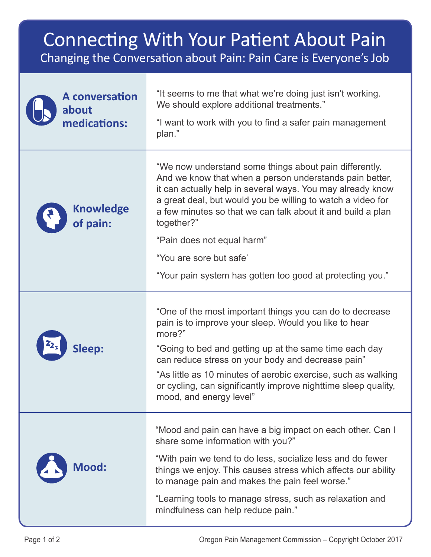## Connecting With Your Patient About Pain Changing the Conversation about Pain: Pain Care is Everyone's Job

| <b>A</b> conversation<br>about<br>medications: | "It seems to me that what we're doing just isn't working.<br>We should explore additional treatments."<br>"I want to work with you to find a safer pain management<br>plan."                                                                                                                                                |
|------------------------------------------------|-----------------------------------------------------------------------------------------------------------------------------------------------------------------------------------------------------------------------------------------------------------------------------------------------------------------------------|
| <b>Knowledge</b><br>of pain:                   | "We now understand some things about pain differently.<br>And we know that when a person understands pain better,<br>it can actually help in several ways. You may already know<br>a great deal, but would you be willing to watch a video for<br>a few minutes so that we can talk about it and build a plan<br>together?" |
|                                                | "Pain does not equal harm"                                                                                                                                                                                                                                                                                                  |
|                                                | "You are sore but safe"                                                                                                                                                                                                                                                                                                     |
|                                                | "Your pain system has gotten too good at protecting you."                                                                                                                                                                                                                                                                   |
| <b>Sleep:</b>                                  | "One of the most important things you can do to decrease<br>pain is to improve your sleep. Would you like to hear<br>more?"<br>"Going to bed and getting up at the same time each day<br>can reduce stress on your body and decrease pain"<br>"As little as 10 minutes of aerobic exercise, such as walking                 |
|                                                | or cycling, can significantly improve nighttime sleep quality,<br>mood, and energy level"                                                                                                                                                                                                                                   |
| <b>Mood:</b>                                   | "Mood and pain can have a big impact on each other. Can I<br>share some information with you?"                                                                                                                                                                                                                              |
|                                                | "With pain we tend to do less, socialize less and do fewer<br>things we enjoy. This causes stress which affects our ability<br>to manage pain and makes the pain feel worse."                                                                                                                                               |
|                                                | "Learning tools to manage stress, such as relaxation and<br>mindfulness can help reduce pain."                                                                                                                                                                                                                              |